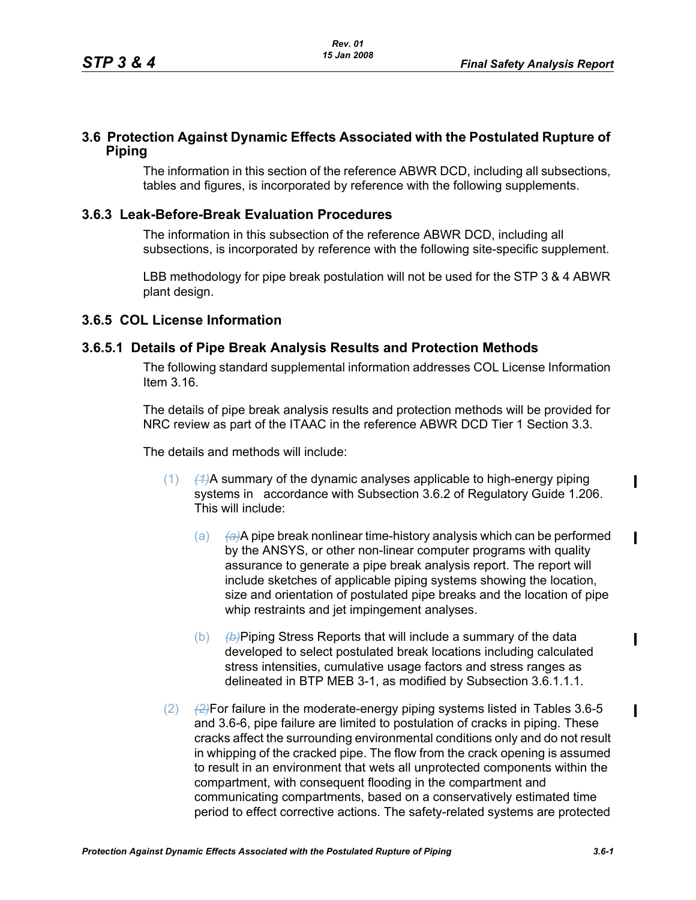# **3.6 Protection Against Dynamic Effects Associated with the Postulated Rupture of Piping**

The information in this section of the reference ABWR DCD, including all subsections, tables and figures, is incorporated by reference with the following supplements.

# **3.6.3 Leak-Before-Break Evaluation Procedures**

The information in this subsection of the reference ABWR DCD, including all subsections, is incorporated by reference with the following site-specific supplement.

LBB methodology for pipe break postulation will not be used for the STP 3 & 4 ABWR plant design.

### **3.6.5 COL License Information**

## **3.6.5.1 Details of Pipe Break Analysis Results and Protection Methods**

The following standard supplemental information addresses COL License Information Item 3.16.

The details of pipe break analysis results and protection methods will be provided for NRC review as part of the ITAAC in the reference ABWR DCD Tier 1 Section 3.3.

The details and methods will include:

- (1) *(1)*A summary of the dynamic analyses applicable to high-energy piping systems in accordance with Subsection 3.6.2 of Regulatory Guide 1.206. This will include:
	- (a) *(a)*A pipe break nonlinear time-history analysis which can be performed by the ANSYS, or other non-linear computer programs with quality assurance to generate a pipe break analysis report. The report will include sketches of applicable piping systems showing the location, size and orientation of postulated pipe breaks and the location of pipe whip restraints and jet impingement analyses.
	- (b) *(b)*Piping Stress Reports that will include a summary of the data developed to select postulated break locations including calculated stress intensities, cumulative usage factors and stress ranges as delineated in BTP MEB 3-1, as modified by Subsection 3.6.1.1.1.
- (2) *(2)*For failure in the moderate-energy piping systems listed in Tables 3.6-5 and 3.6-6, pipe failure are limited to postulation of cracks in piping. These cracks affect the surrounding environmental conditions only and do not result in whipping of the cracked pipe. The flow from the crack opening is assumed to result in an environment that wets all unprotected components within the compartment, with consequent flooding in the compartment and communicating compartments, based on a conservatively estimated time period to effect corrective actions. The safety-related systems are protected

 $\mathbf I$ 

 $\mathbf I$ 

 $\blacksquare$ 

 $\blacksquare$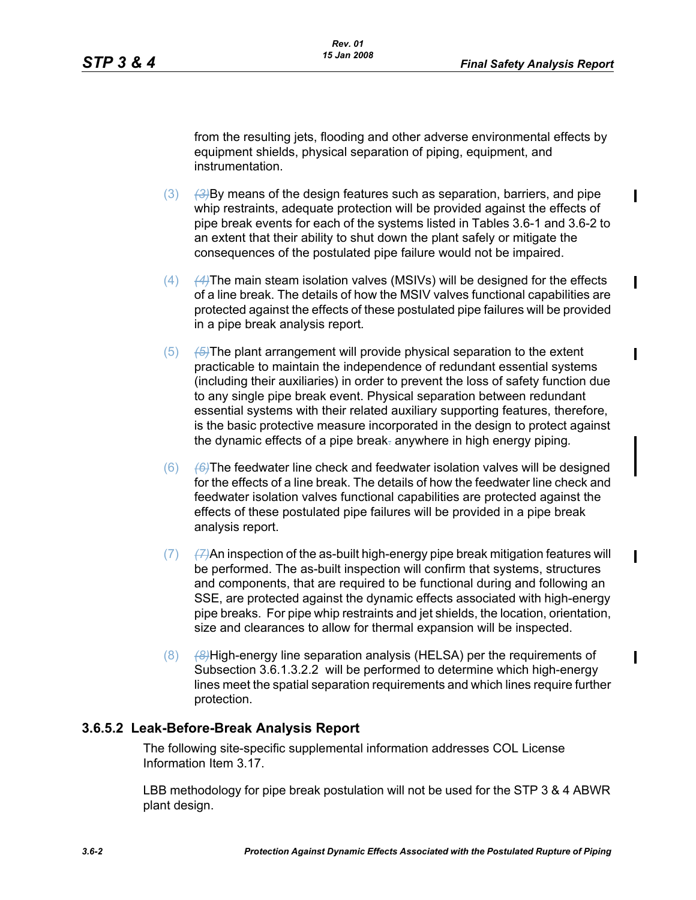$\mathbf I$ 

 $\mathbf I$ 

from the resulting jets, flooding and other adverse environmental effects by equipment shields, physical separation of piping, equipment, and instrumentation.

- (3) *(3)*By means of the design features such as separation, barriers, and pipe whip restraints, adequate protection will be provided against the effects of pipe break events for each of the systems listed in Tables 3.6-1 and 3.6-2 to an extent that their ability to shut down the plant safely or mitigate the consequences of the postulated pipe failure would not be impaired.
- (4) *(4)*The main steam isolation valves (MSIVs) will be designed for the effects of a line break. The details of how the MSIV valves functional capabilities are protected against the effects of these postulated pipe failures will be provided in a pipe break analysis report*.*
- (5) *(5)*The plant arrangement will provide physical separation to the extent practicable to maintain the independence of redundant essential systems (including their auxiliaries) in order to prevent the loss of safety function due to any single pipe break event. Physical separation between redundant essential systems with their related auxiliary supporting features, therefore, is the basic protective measure incorporated in the design to protect against the dynamic effects of a pipe break. anywhere in high energy piping*.*
- (6) *(6)*The feedwater line check and feedwater isolation valves will be designed for the effects of a line break. The details of how the feedwater line check and feedwater isolation valves functional capabilities are protected against the effects of these postulated pipe failures will be provided in a pipe break analysis report.
- (7) *(7)*An inspection of the as-built high-energy pipe break mitigation features will be performed. The as-built inspection will confirm that systems, structures and components, that are required to be functional during and following an SSE, are protected against the dynamic effects associated with high-energy pipe breaks. For pipe whip restraints and jet shields, the location, orientation, size and clearances to allow for thermal expansion will be inspected.
- (8) *(8)*High-energy line separation analysis (HELSA) per the requirements of Subsection 3.6.1.3.2.2 will be performed to determine which high-energy lines meet the spatial separation requirements and which lines require further protection.

### **3.6.5.2 Leak-Before-Break Analysis Report**

The following site-specific supplemental information addresses COL License Information Item 3.17.

LBB methodology for pipe break postulation will not be used for the STP 3 & 4 ABWR plant design.